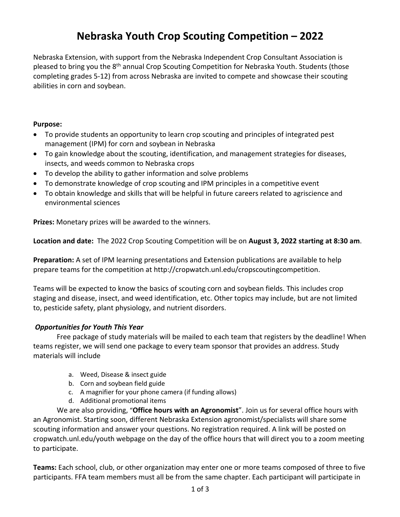## **Nebraska Youth Crop Scouting Competition – 2022**

Nebraska Extension, with support from the Nebraska Independent Crop Consultant Association is pleased to bring you the 8<sup>th</sup> annual Crop Scouting Competition for Nebraska Youth. Students (those completing grades 5-12) from across Nebraska are invited to compete and showcase their scouting abilities in corn and soybean.

#### **Purpose:**

- To provide students an opportunity to learn crop scouting and principles of integrated pest management (IPM) for corn and soybean in Nebraska
- To gain knowledge about the scouting, identification, and management strategies for diseases, insects, and weeds common to Nebraska crops
- To develop the ability to gather information and solve problems
- To demonstrate knowledge of crop scouting and IPM principles in a competitive event
- To obtain knowledge and skills that will be helpful in future careers related to agriscience and environmental sciences

**Prizes:** Monetary prizes will be awarded to the winners.

**Location and date:** The 2022 Crop Scouting Competition will be on **August 3, 2022 starting at 8:30 am**.

**Preparation:** A set of IPM learning presentations and Extension publications are available to help prepare teams for the competition at http://cropwatch.unl.edu/cropscoutingcompetition.

Teams will be expected to know the basics of scouting corn and soybean fields. This includes crop staging and disease, insect, and weed identification, etc. Other topics may include, but are not limited to, pesticide safety, plant physiology, and nutrient disorders.

#### *Opportunities for Youth This Year*

Free package of study materials will be mailed to each team that registers by the deadline! When teams register, we will send one package to every team sponsor that provides an address. Study materials will include

- a. Weed, Disease & insect guide
- b. Corn and soybean field guide
- c. A magnifier for your phone camera (if funding allows)
- d. Additional promotional items

We are also providing, "**Office hours with an Agronomist**". Join us for several office hours with an Agronomist. Starting soon, different Nebraska Extension agronomist/specialists will share some scouting information and answer your questions. No registration required. A link will be posted on cropwatch.unl.edu/youth webpage on the day of the office hours that will direct you to a zoom meeting to participate.

**Teams:** Each school, club, or other organization may enter one or more teams composed of three to five participants. FFA team members must all be from the same chapter. Each participant will participate in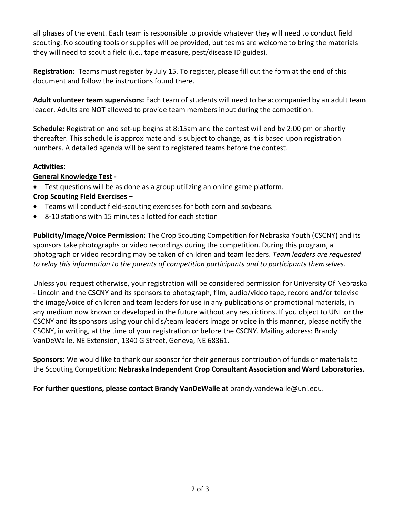all phases of the event. Each team is responsible to provide whatever they will need to conduct field scouting. No scouting tools or supplies will be provided, but teams are welcome to bring the materials they will need to scout a field (i.e., tape measure, pest/disease ID guides).

**Registration:** Teams must register by July 15. To register, please fill out the form at the end of this document and follow the instructions found there.

**Adult volunteer team supervisors:** Each team of students will need to be accompanied by an adult team leader. Adults are NOT allowed to provide team members input during the competition.

**Schedule:** Registration and set-up begins at 8:15am and the contest will end by 2:00 pm or shortly thereafter. This schedule is approximate and is subject to change, as it is based upon registration numbers. A detailed agenda will be sent to registered teams before the contest.

### **Activities:**

### **General Knowledge Test** -

- Test questions will be as done as a group utilizing an online game platform. **Crop Scouting Field Exercises** –
- Teams will conduct field-scouting exercises for both corn and soybeans.
- 8-10 stations with 15 minutes allotted for each station

**Publicity/Image/Voice Permission:** The Crop Scouting Competition for Nebraska Youth (CSCNY) and its sponsors take photographs or video recordings during the competition. During this program, a photograph or video recording may be taken of children and team leaders. *Team leaders are requested to relay this information to the parents of competition participants and to participants themselves.*

Unless you request otherwise, your registration will be considered permission for University Of Nebraska - Lincoln and the CSCNY and its sponsors to photograph, film, audio/video tape, record and/or televise the image/voice of children and team leaders for use in any publications or promotional materials, in any medium now known or developed in the future without any restrictions. If you object to UNL or the CSCNY and its sponsors using your child's/team leaders image or voice in this manner, please notify the CSCNY, in writing, at the time of your registration or before the CSCNY. Mailing address: Brandy VanDeWalle, NE Extension, 1340 G Street, Geneva, NE 68361.

**Sponsors:** We would like to thank our sponsor for their generous contribution of funds or materials to the Scouting Competition: **Nebraska Independent Crop Consultant Association and Ward Laboratories.**

**For further questions, please contact Brandy VanDeWalle at** brandy.vandewalle@unl.edu.